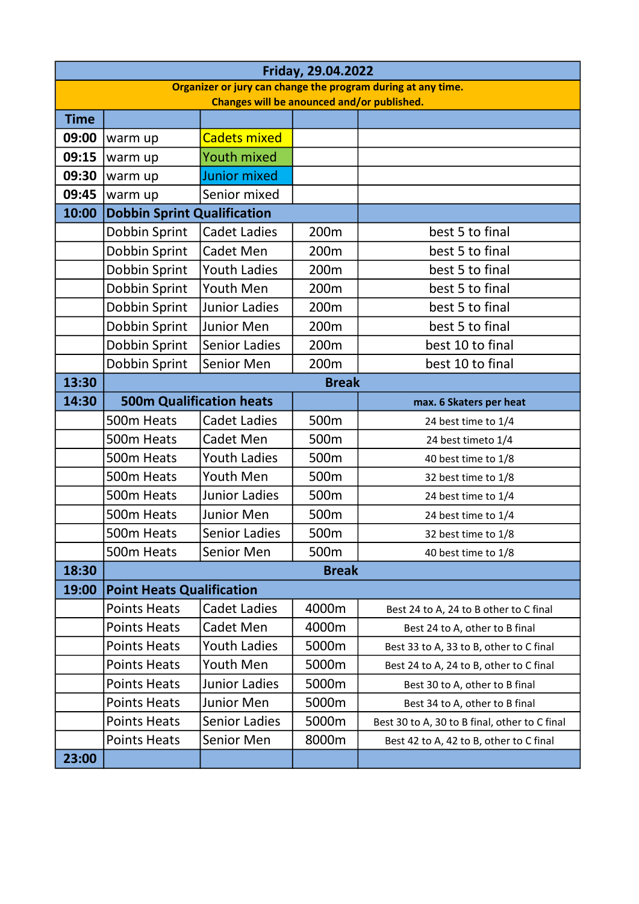| Friday, 29.04.2022                                           |                                    |                                 |       |                                               |  |  |  |  |  |
|--------------------------------------------------------------|------------------------------------|---------------------------------|-------|-----------------------------------------------|--|--|--|--|--|
| Organizer or jury can change the program during at any time. |                                    |                                 |       |                                               |  |  |  |  |  |
| Changes will be anounced and/or published.                   |                                    |                                 |       |                                               |  |  |  |  |  |
| <b>Time</b>                                                  |                                    |                                 |       |                                               |  |  |  |  |  |
| 09:00                                                        | warm up                            | <b>Cadets mixed</b>             |       |                                               |  |  |  |  |  |
| 09:15                                                        | warm up                            | <b>Youth mixed</b>              |       |                                               |  |  |  |  |  |
| 09:30                                                        | warm up                            | Junior mixed                    |       |                                               |  |  |  |  |  |
| 09:45                                                        | warm up                            | Senior mixed                    |       |                                               |  |  |  |  |  |
| 10:00                                                        | <b>Dobbin Sprint Qualification</b> |                                 |       |                                               |  |  |  |  |  |
|                                                              | Dobbin Sprint                      | <b>Cadet Ladies</b>             | 200m  | best 5 to final                               |  |  |  |  |  |
|                                                              | Dobbin Sprint                      | Cadet Men                       | 200m  | best 5 to final                               |  |  |  |  |  |
|                                                              | Dobbin Sprint                      | <b>Youth Ladies</b>             | 200m  | best 5 to final                               |  |  |  |  |  |
|                                                              | Dobbin Sprint                      | Youth Men                       | 200m  | best 5 to final                               |  |  |  |  |  |
|                                                              | Dobbin Sprint                      | <b>Junior Ladies</b>            | 200m  | best 5 to final                               |  |  |  |  |  |
|                                                              | Dobbin Sprint                      | <b>Junior Men</b>               | 200m  | best 5 to final                               |  |  |  |  |  |
|                                                              | Dobbin Sprint                      | <b>Senior Ladies</b>            | 200m  | best 10 to final                              |  |  |  |  |  |
|                                                              | Dobbin Sprint                      | Senior Men                      | 200m  | best 10 to final                              |  |  |  |  |  |
| 13:30                                                        | <b>Break</b>                       |                                 |       |                                               |  |  |  |  |  |
| 14:30                                                        |                                    | <b>500m Qualification heats</b> |       | max. 6 Skaters per heat                       |  |  |  |  |  |
|                                                              | 500m Heats                         | <b>Cadet Ladies</b>             | 500m  | 24 best time to 1/4                           |  |  |  |  |  |
|                                                              | 500m Heats                         | Cadet Men                       | 500m  | 24 best timeto 1/4                            |  |  |  |  |  |
|                                                              | 500m Heats                         | <b>Youth Ladies</b>             | 500m  | 40 best time to 1/8                           |  |  |  |  |  |
|                                                              | 500m Heats                         | <b>Youth Men</b>                | 500m  | 32 best time to 1/8                           |  |  |  |  |  |
|                                                              | 500m Heats                         | <b>Junior Ladies</b>            | 500m  | 24 best time to 1/4                           |  |  |  |  |  |
|                                                              | 500m Heats                         | <b>Junior Men</b>               | 500m  | 24 best time to 1/4                           |  |  |  |  |  |
|                                                              | 500m Heats                         | <b>Senior Ladies</b>            | 500m  | 32 best time to 1/8                           |  |  |  |  |  |
|                                                              | 500m Heats                         | Senior Men                      | 500m  | 40 best time to 1/8                           |  |  |  |  |  |
| 18:30                                                        | <b>Break</b>                       |                                 |       |                                               |  |  |  |  |  |
| 19:00                                                        | <b>Point Heats Qualification</b>   |                                 |       |                                               |  |  |  |  |  |
|                                                              | <b>Points Heats</b>                | <b>Cadet Ladies</b>             | 4000m | Best 24 to A, 24 to B other to C final        |  |  |  |  |  |
|                                                              | <b>Points Heats</b>                | Cadet Men                       | 4000m | Best 24 to A, other to B final                |  |  |  |  |  |
|                                                              | <b>Points Heats</b>                | <b>Youth Ladies</b>             | 5000m | Best 33 to A, 33 to B, other to C final       |  |  |  |  |  |
|                                                              | <b>Points Heats</b>                | Youth Men                       | 5000m | Best 24 to A, 24 to B, other to C final       |  |  |  |  |  |
|                                                              | <b>Points Heats</b>                | <b>Junior Ladies</b>            | 5000m | Best 30 to A, other to B final                |  |  |  |  |  |
|                                                              | <b>Points Heats</b>                | Junior Men                      | 5000m | Best 34 to A, other to B final                |  |  |  |  |  |
|                                                              | <b>Points Heats</b>                | <b>Senior Ladies</b>            | 5000m | Best 30 to A, 30 to B final, other to C final |  |  |  |  |  |
|                                                              | <b>Points Heats</b>                | Senior Men                      | 8000m | Best 42 to A, 42 to B, other to C final       |  |  |  |  |  |
| 23:00                                                        |                                    |                                 |       |                                               |  |  |  |  |  |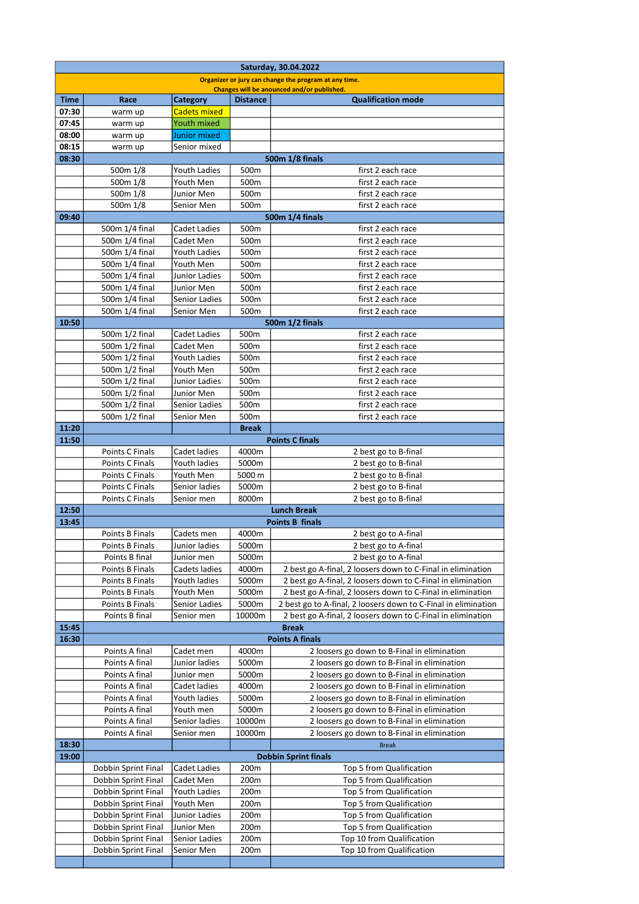| Saturday, 30.04.2022                                  |                                            |                                        |                  |                                                                       |  |  |  |  |  |
|-------------------------------------------------------|--------------------------------------------|----------------------------------------|------------------|-----------------------------------------------------------------------|--|--|--|--|--|
| Organizer or jury can change the program at any time. |                                            |                                        |                  |                                                                       |  |  |  |  |  |
|                                                       |                                            |                                        |                  | Changes will be anounced and/or published.                            |  |  |  |  |  |
| <b>Time</b><br>07:30                                  | Race                                       | <b>Category</b><br><b>Cadets mixed</b> | <b>Distance</b>  | <b>Qualification mode</b>                                             |  |  |  |  |  |
| 07:45                                                 | warm up<br>warm up                         | <b>Youth mixed</b>                     |                  |                                                                       |  |  |  |  |  |
| 08:00                                                 | warm up                                    | Junior mixed                           |                  |                                                                       |  |  |  |  |  |
| 08:15                                                 | warm up                                    | Senior mixed                           |                  |                                                                       |  |  |  |  |  |
| 08:30                                                 |                                            |                                        |                  | 500m 1/8 finals                                                       |  |  |  |  |  |
|                                                       | 500m 1/8                                   | <b>Youth Ladies</b>                    | 500m             | first 2 each race                                                     |  |  |  |  |  |
|                                                       | 500m 1/8                                   | Youth Men                              | 500m             | first 2 each race                                                     |  |  |  |  |  |
|                                                       | 500m 1/8                                   | Junior Men                             | 500m             | first 2 each race                                                     |  |  |  |  |  |
|                                                       | 500m 1/8                                   | Senior Men                             | 500m             | first 2 each race                                                     |  |  |  |  |  |
| 09:40                                                 |                                            |                                        |                  | 500m 1/4 finals                                                       |  |  |  |  |  |
|                                                       | 500m 1/4 final<br>500m 1/4 final           | <b>Cadet Ladies</b><br>Cadet Men       | 500m<br>500m     | first 2 each race<br>first 2 each race                                |  |  |  |  |  |
|                                                       | 500m 1/4 final                             | <b>Youth Ladies</b>                    | 500 <sub>m</sub> | first 2 each race                                                     |  |  |  |  |  |
|                                                       | 500m 1/4 final                             | Youth Men                              | 500m             | first 2 each race                                                     |  |  |  |  |  |
|                                                       | 500m 1/4 final                             | <b>Junior Ladies</b>                   | 500m             | first 2 each race                                                     |  |  |  |  |  |
|                                                       | 500m 1/4 final                             | Junior Men                             | 500m             | first 2 each race                                                     |  |  |  |  |  |
|                                                       | 500m 1/4 final                             | Senior Ladies                          | 500m             | first 2 each race                                                     |  |  |  |  |  |
|                                                       | 500m 1/4 final                             | Senior Men                             | 500 <sub>m</sub> | first 2 each race                                                     |  |  |  |  |  |
| 10:50                                                 |                                            |                                        |                  | 500m 1/2 finals                                                       |  |  |  |  |  |
|                                                       | 500m 1/2 final                             | <b>Cadet Ladies</b>                    | 500m             | first 2 each race                                                     |  |  |  |  |  |
|                                                       | 500m 1/2 final                             | Cadet Men                              | 500m             | first 2 each race                                                     |  |  |  |  |  |
|                                                       | 500m 1/2 final                             | <b>Youth Ladies</b>                    | 500m             | first 2 each race                                                     |  |  |  |  |  |
|                                                       | 500m 1/2 final                             | Youth Men                              | 500 <sub>m</sub> | first 2 each race                                                     |  |  |  |  |  |
|                                                       | 500m 1/2 final                             | Junior Ladies                          | 500m             | first 2 each race                                                     |  |  |  |  |  |
|                                                       | 500m 1/2 final<br>500m 1/2 final           | Junior Men<br>Senior Ladies            | 500m<br>500m     | first 2 each race<br>first 2 each race                                |  |  |  |  |  |
|                                                       | 500m 1/2 final                             | Senior Men                             | 500m             | first 2 each race                                                     |  |  |  |  |  |
| 11:20                                                 |                                            |                                        | <b>Break</b>     |                                                                       |  |  |  |  |  |
| 11:50                                                 |                                            |                                        |                  | <b>Points C finals</b>                                                |  |  |  |  |  |
|                                                       | Points C Finals                            | Cadet ladies                           | 4000m            | 2 best go to B-final                                                  |  |  |  |  |  |
|                                                       | Points C Finals                            | Youth ladies                           | 5000m            | 2 best go to B-final                                                  |  |  |  |  |  |
|                                                       | Points C Finals                            | Youth Men                              | 5000 m           | 2 best go to B-final                                                  |  |  |  |  |  |
|                                                       | Points C Finals                            | Senior ladies                          | 5000m            | 2 best go to B-final                                                  |  |  |  |  |  |
|                                                       | Points C Finals                            | Senior men                             | 8000m            | 2 best go to B-final                                                  |  |  |  |  |  |
| 12:50                                                 |                                            |                                        |                  | <b>Lunch Break</b>                                                    |  |  |  |  |  |
| 13:45                                                 | Points B Finals                            | Cadets men                             | 4000m            | <b>Points B finals</b><br>2 best go to A-final                        |  |  |  |  |  |
|                                                       | Points B Finals                            | Junior ladies                          | 5000m            | 2 best go to A-final                                                  |  |  |  |  |  |
|                                                       | Points B final                             | Junior men                             | 5000m            | 2 best go to A-final                                                  |  |  |  |  |  |
|                                                       | Points B Finals                            | Cadets ladies                          | 4000m            | 2 best go A-final, 2 loosers down to C-Final in elimination           |  |  |  |  |  |
|                                                       | Points B Finals                            | Youth ladies                           | 5000m            | 2 best go A-final, 2 loosers down to C-Final in elimination           |  |  |  |  |  |
|                                                       | Points B Finals                            | Youth Men                              | 5000m            | 2 best go A-final, 2 loosers down to C-Final in elimination           |  |  |  |  |  |
|                                                       | Points B Finals                            | Senior Ladies                          | 5000m            | 2 best go to A-final, 2 loosers down to C-Final in elimination        |  |  |  |  |  |
|                                                       | Points B final                             | Senior men                             | 10000m           | 2 best go A-final, 2 loosers down to C-Final in elimination           |  |  |  |  |  |
| 15:45                                                 |                                            |                                        |                  | <b>Break</b>                                                          |  |  |  |  |  |
| 16:30                                                 | Points A final                             | Cadet men                              | 4000m            | <b>Points A finals</b><br>2 loosers go down to B-Final in elimination |  |  |  |  |  |
|                                                       | Points A final                             | Junior ladies                          | 5000m            | 2 loosers go down to B-Final in elimination                           |  |  |  |  |  |
|                                                       | Points A final                             | Junior men                             | 5000m            | 2 loosers go down to B-Final in elimination                           |  |  |  |  |  |
|                                                       | Points A final                             | Cadet ladies                           | 4000m            | 2 loosers go down to B-Final in elimination                           |  |  |  |  |  |
|                                                       | Points A final                             | Youth ladies                           | 5000m            | 2 loosers go down to B-Final in elimination                           |  |  |  |  |  |
|                                                       | Points A final                             | Youth men                              | 5000m            | 2 loosers go down to B-Final in elimination                           |  |  |  |  |  |
|                                                       | Points A final                             | Senior ladies                          | 10000m           | 2 loosers go down to B-Final in elimination                           |  |  |  |  |  |
|                                                       | Points A final                             | Senior men                             | 10000m           | 2 loosers go down to B-Final in elimination                           |  |  |  |  |  |
| 18:30                                                 |                                            |                                        |                  | <b>Break</b>                                                          |  |  |  |  |  |
| 19:00                                                 |                                            |                                        |                  | <b>Dobbin Sprint finals</b>                                           |  |  |  |  |  |
|                                                       | Dobbin Sprint Final                        | Cadet Ladies                           | 200m             | Top 5 from Qualification                                              |  |  |  |  |  |
|                                                       | Dobbin Sprint Final                        | Cadet Men                              | 200m             | Top 5 from Qualification                                              |  |  |  |  |  |
|                                                       | Dobbin Sprint Final<br>Dobbin Sprint Final | Youth Ladies<br>Youth Men              | 200m<br>200m     | Top 5 from Qualification<br>Top 5 from Qualification                  |  |  |  |  |  |
|                                                       | Dobbin Sprint Final                        | Junior Ladies                          | 200m             | Top 5 from Qualification                                              |  |  |  |  |  |
|                                                       | Dobbin Sprint Final                        | Junior Men                             | 200m             | Top 5 from Qualification                                              |  |  |  |  |  |
|                                                       | Dobbin Sprint Final                        | Senior Ladies                          | 200m             | Top 10 from Qualification                                             |  |  |  |  |  |
|                                                       | Dobbin Sprint Final                        | Senior Men                             | 200m             | Top 10 from Qualification                                             |  |  |  |  |  |
|                                                       |                                            |                                        |                  |                                                                       |  |  |  |  |  |